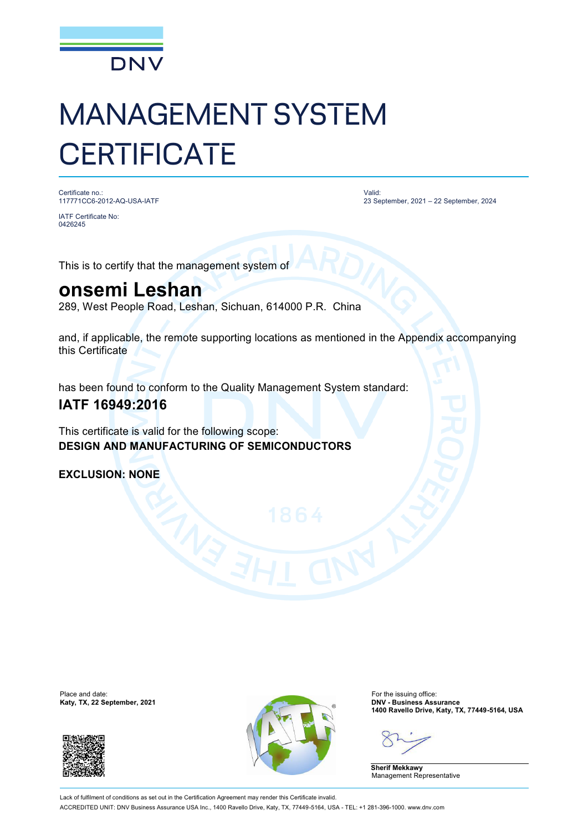

# MANAGEMENT SYSTEM **CERTIFICATE**

Certificate no.: 117771CC6-2012-AQ-USA-IATF

IATF Certificate No: 0426245

Valid: 23 September, 2021 – 22 September, 2024

This is to certify that the management system of

## **onsemi Leshan**

289, West People Road, Leshan, Sichuan, 614000 P.R. China

and, if applicable, the remote supporting locations as mentioned in the Appendix accompanying this Certificate

has been found to conform to the Quality Management System standard:

### **IATF 16949:2016**

This certificate is valid for the following scope: **DESIGN AND MANUFACTURING OF SEMICONDUCTORS**

**EXCLUSION: NONE**





**1400 Ravello Drive, Katy, TX, 77449-5164, USA**

**Sherif Mekkawy** Management Representative

Lack of fulfilment of conditions as set out in the Certification Agreement may render this Certificate invalid. ACCREDITED UNIT: DNV Business Assurance USA Inc., 1400 Ravello Drive, Katy, TX, 77449-5164, USA - TEL: +1 281-396-1000. [www.dnv.com](http://www.dnv.com)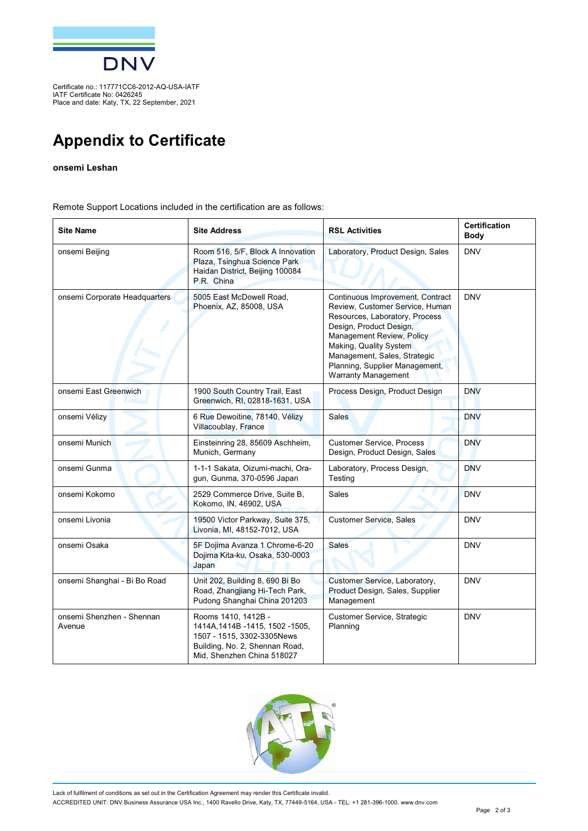

Certificate no.: 117771CC6-2012-AQ-USA-IATF IATF Certificate No: 0426245 Place and date: Katy, TX, 22 September, 2021

## **Appendix to Certificate**

#### **onsemi Leshan**

Remote Support Locations included in the certification are as follows:

| <b>Site Name</b>                    | <b>Site Address</b>                                                                                                                                    | <b>RSL Activities</b>                                                                                                                                                                                                                                                                   | <b>Certification</b><br><b>Body</b> |
|-------------------------------------|--------------------------------------------------------------------------------------------------------------------------------------------------------|-----------------------------------------------------------------------------------------------------------------------------------------------------------------------------------------------------------------------------------------------------------------------------------------|-------------------------------------|
| onsemi Beijing                      | Room 516, 5/F, Block A Innovation<br>Plaza, Tsinghua Science Park<br>Haidan District, Beijing 100084<br>P.R. China                                     | Laboratory, Product Design, Sales                                                                                                                                                                                                                                                       | <b>DNV</b>                          |
| onsemi Corporate Headquarters       | 5005 East McDowell Road,<br>Phoenix, AZ, 85008, USA                                                                                                    | Continuous Improvement, Contract<br>Review, Customer Service, Human<br>Resources, Laboratory, Process<br>Design, Product Design,<br>Management Review, Policy<br>Making, Quality System<br>Management, Sales, Strategic<br>Planning, Supplier Management,<br><b>Warranty Management</b> | <b>DNV</b>                          |
| onsemi East Greenwich               | 1900 South Country Trail, East<br>Greenwich, RI, 02818-1631, USA                                                                                       | Process Design, Product Design                                                                                                                                                                                                                                                          | <b>DNV</b>                          |
| onsemi Vélizy                       | 6 Rue Dewoitine, 78140, Vélizy<br>Villacoublay, France                                                                                                 | <b>Sales</b>                                                                                                                                                                                                                                                                            | <b>DNV</b>                          |
| onsemi Munich                       | Einsteinring 28, 85609 Aschheim,<br>Munich, Germany                                                                                                    | <b>Customer Service, Process</b><br>Design, Product Design, Sales                                                                                                                                                                                                                       | <b>DNV</b>                          |
| onsemi Gunma                        | 1-1-1 Sakata, Oizumi-machi, Ora-<br>gun, Gunma, 370-0596 Japan                                                                                         | Laboratory, Process Design,<br>Testing                                                                                                                                                                                                                                                  | <b>DNV</b>                          |
| onsemi Kokomo                       | 2529 Commerce Drive, Suite B,<br>Kokomo, IN, 46902, USA                                                                                                | Sales                                                                                                                                                                                                                                                                                   | <b>DNV</b>                          |
| onsemi Livonia                      | 19500 Victor Parkway, Suite 375,<br>Livonia, MI, 48152-7012, USA                                                                                       | <b>Customer Service, Sales</b>                                                                                                                                                                                                                                                          | <b>DNV</b>                          |
| onsemi Osaka                        | 5F Dojima Avanza 1 Chrome-6-20<br>Dojima Kita-ku, Osaka, 530-0003<br>Japan                                                                             | <b>Sales</b>                                                                                                                                                                                                                                                                            | <b>DNV</b>                          |
| onsemi Shanghai - Bi Bo Road        | Unit 202, Building 8, 690 Bi Bo<br>Road, Zhangjiang Hi-Tech Park,<br>Pudong Shanghai China 201203                                                      | Customer Service, Laboratory,<br>Product Design, Sales, Supplier<br>Management                                                                                                                                                                                                          | <b>DNV</b>                          |
| onsemi Shenzhen - Shennan<br>Avenue | Rooms 1410, 1412B -<br>1414A, 1414B - 1415, 1502 - 1505,<br>1507 - 1515, 3302-3305News<br>Building, No. 2, Shennan Road,<br>Mid, Shenzhen China 518027 | <b>Customer Service, Strategic</b><br>Planning                                                                                                                                                                                                                                          | <b>DNV</b>                          |